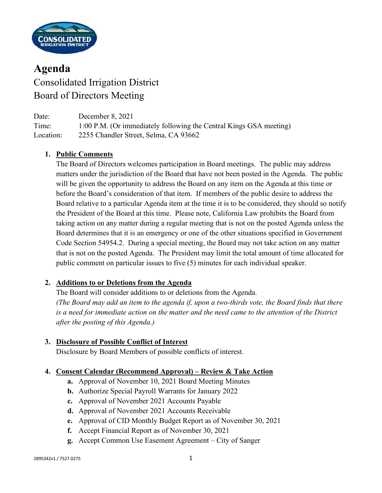

# **Agenda** Consolidated Irrigation District Board of Directors Meeting

| Date:     | December 8, 2021                                                   |
|-----------|--------------------------------------------------------------------|
| Time:     | 1:00 P.M. (Or immediately following the Central Kings GSA meeting) |
| Location: | 2255 Chandler Street, Selma, CA 93662                              |

### **1. Public Comments**

The Board of Directors welcomes participation in Board meetings. The public may address matters under the jurisdiction of the Board that have not been posted in the Agenda. The public will be given the opportunity to address the Board on any item on the Agenda at this time or before the Board's consideration of that item. If members of the public desire to address the Board relative to a particular Agenda item at the time it is to be considered, they should so notify the President of the Board at this time. Please note, California Law prohibits the Board from taking action on any matter during a regular meeting that is not on the posted Agenda unless the Board determines that it is an emergency or one of the other situations specified in Government Code Section 54954.2. During a special meeting, the Board may not take action on any matter that is not on the posted Agenda. The President may limit the total amount of time allocated for public comment on particular issues to five (5) minutes for each individual speaker.

### **2. Additions to or Deletions from the Agenda**

The Board will consider additions to or deletions from the Agenda. *(The Board may add an item to the agenda if, upon a two-thirds vote, the Board finds that there is a need for immediate action on the matter and the need came to the attention of the District after the posting of this Agenda.)*

### **3. Disclosure of Possible Conflict of Interest**

Disclosure by Board Members of possible conflicts of interest.

### **4. Consent Calendar (Recommend Approval) – Review & Take Action**

- **a.** Approval of November 10, 2021 Board Meeting Minutes
- **b.** Authorize Special Payroll Warrants for January 2022
- **c.** Approval of November 2021 Accounts Payable
- **d.** Approval of November 2021 Accounts Receivable
- **e.** Approval of CID Monthly Budget Report as of November 30, 2021
- **f.** Accept Financial Report as of November 30, 2021
- **g.** Accept Common Use Easement Agreement City of Sanger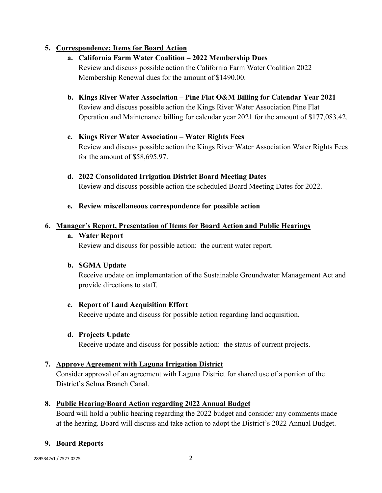## **5. Correspondence: Items for Board Action**

- **a. California Farm Water Coalition – 2022 Membership Dues** Review and discuss possible action the California Farm Water Coalition 2022 Membership Renewal dues for the amount of \$1490.00.
- **b. Kings River Water Association – Pine Flat O&M Billing for Calendar Year 2021** Review and discuss possible action the Kings River Water Association Pine Flat Operation and Maintenance billing for calendar year 2021 for the amount of \$177,083.42.
- **c. Kings River Water Association – Water Rights Fees** Review and discuss possible action the Kings River Water Association Water Rights Fees for the amount of \$58,695.97.
- **d. 2022 Consolidated Irrigation District Board Meeting Dates** Review and discuss possible action the scheduled Board Meeting Dates for 2022.
- **e. Review miscellaneous correspondence for possible action**

#### **6. Manager's Report, Presentation of Items for Board Action and Public Hearings**

#### **a. Water Report**

Review and discuss for possible action: the current water report.

### **b. SGMA Update**

Receive update on implementation of the Sustainable Groundwater Management Act and provide directions to staff.

### **c. Report of Land Acquisition Effort**

Receive update and discuss for possible action regarding land acquisition.

### **d. Projects Update**

Receive update and discuss for possible action: the status of current projects.

### **7. Approve Agreement with Laguna Irrigation District**

Consider approval of an agreement with Laguna District for shared use of a portion of the District's Selma Branch Canal.

### **8. Public Hearing/Board Action regarding 2022 Annual Budget**

Board will hold a public hearing regarding the 2022 budget and consider any comments made at the hearing. Board will discuss and take action to adopt the District's 2022 Annual Budget.

### **9. Board Reports**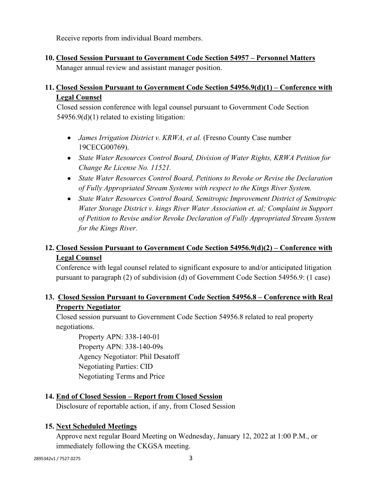Receive reports from individual Board members.

**10. Closed Session Pursuant to Government Code Section 54957 – Personnel Matters** Manager annual review and assistant manager position.

## **11. Closed Session Pursuant to Government Code Section 54956.9(d)(1) – Conference with Legal Counsel**

Closed session conference with legal counsel pursuant to Government Code Section 54956.9(d)(1) related to existing litigation:

- *James Irrigation District v. KRWA, et al.* (Fresno County Case number 19CECG00769).
- *State Water Resources Control Board, Division of Water Rights, KRWA Petition for Change Re License No. 11521.*
- *State Water Resources Control Board, Petitions to Revoke or Revise the Declaration of Fully Appropriated Stream Systems with respect to the Kings River System.*
- *State Water Resources Control Board, Semitropic Improvement District of Semitropic Water Storage District v. kings River Water Association et. al; Complaint in Support of Petition to Revise and/or Revoke Declaration of Fully Appropriated Stream System for the Kings River.*

# **12. Closed Session Pursuant to Government Code Section 54956.9(d)(2) – Conference with Legal Counsel**

Conference with legal counsel related to significant exposure to and/or anticipated litigation pursuant to paragraph (2) of subdivision (d) of Government Code Section 54956.9: (1 case)

# **13. Closed Session Pursuant to Government Code Section 54956.8 – Conference with Real Property Negotiator**

Closed session pursuant to Government Code Section 54956.8 related to real property negotiations.

Property APN: 338-140-01 Property APN: 338-140-09s Agency Negotiator: Phil Desatoff Negotiating Parties: CID Negotiating Terms and Price

## **14. End of Closed Session – Report from Closed Session**

Disclosure of reportable action, if any, from Closed Session

## **15. Next Scheduled Meetings**

Approve next regular Board Meeting on Wednesday, January 12, 2022 at 1:00 P.M., or immediately following the CKGSA meeting.